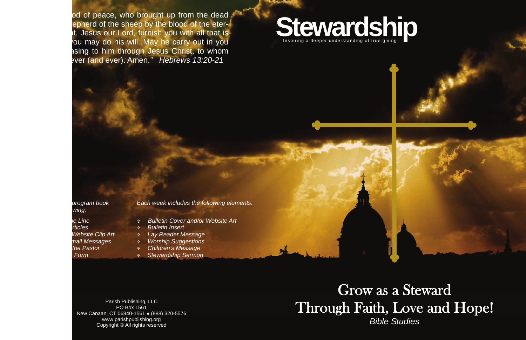

# Grow as a Steward Through Faith, Love and Hope! *Bible Studies*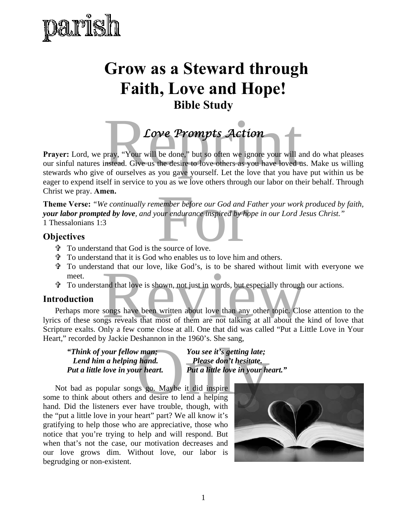

# **Grow as a Steward through Faith, Love and Hope! Bible Study**



**Prayer:** Lord, we pray, "Your will be done," but so often we ignore your will and do what pleases our sinful natures instead. Give us the desire to love others as you have loved us. Make us willing stewards who give of ourselves as you gave yourself. Let the love that you have put within us be eager to expend itself in service to you as we love others through our labor on their behalf. Through Christ we pray. **Amen. Love Prompts Action**<br>pray, "Your will be done," but so often we ignore your will and do<br>nstead. Give us the desire to love others as you have loved us. Ma<br>of ourselves as you gave yourself. Let the love that you have put

**Theme Verse:** *"We continually remember before our God and Father your work produced by faith, your labor prompted by love, and your endurance inspired by hope in our Lord Jesus Christ."*  1 Thessalonians 1:3 member before our God and Fathe<br>our endurance inspired by hope in<br>e source of love.

# **Objectives**

- To understand that God is the source of love.
- To understand that it is God who enables us to love him and others.
- To understand that our love, like God's, is to be shared without limit with everyone we meet.
- To understand that love is shown, not just in words, but especially through our actions.

#### **Introduction**

Perhaps more songs have been written about love than any other topic. Close attention to the lyrics of these songs reveals that most of them are not talking at all about the kind of love that Scripture exalts. Only a few come close at all. One that did was called "Put a Little Love in Your Heart," recorded by Jackie Deshannon in the 1960's. She sang, and that our love, like God's, is to be shared without limit with<br>and that love is shown, not just in words, but especially through our a<br>songs have been written about love than any other topic. Close att<br>ngs reveals that

*"Think of your fellow man; You see it's getting late; Lend him a helping hand. Please don't hesitate.* 

*Put a little love in your heart. Put a little love in your heart." The Setting late;*<br> **Example 2008** of the state;<br> **Please don't hesitate.**<br> **Put a little love in your heart.**<br> **Put a little love in your heart.**<br> **Put a little love in your heart.**<br> **Put a little love in your heart.**<br>

Not bad as popular songs go. Maybe it did inspire some to think about others and desire to lend a helping hand. Did the listeners ever have trouble, though, with the "put a little love in your heart" part? We all know it's gratifying to help those who are appreciative, those who notice that you're trying to help and will respond. But when that's not the case, our motivation decreases and our love grows dim. Without love, our labor is begrudging or non-existent.

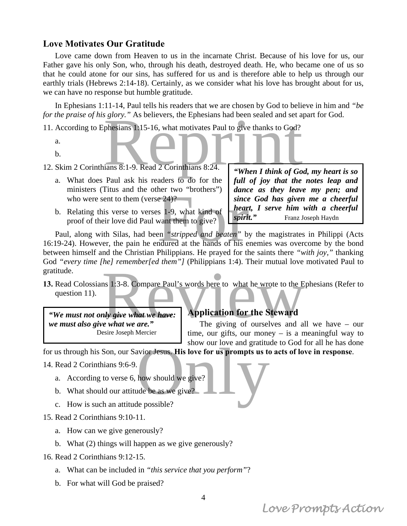#### **Love Motivates Our Gratitude**

Love came down from Heaven to us in the incarnate Christ. Because of his love for us, our Father gave his only Son, who, through his death, destroyed death. He, who became one of us so that he could atone for our sins, has suffered for us and is therefore able to help us through our earthly trials (Hebrews 2:14-18). Certainly, as we consider what his love has brought about for us, we can have no response but humble gratitude.

In Ephesians 1:11-14, Paul tells his readers that we are chosen by God to believe in him and *"be for the praise of his glory."* As believers, the Ephesians had been sealed and set apart for God.

11. According to Ephesians 1:15-16, what motivates Paul to give thanks to God? s glory." As believers, the Ephesians had been sealed and set apart f<br>phesians 1:15-16, what motivates Paul to give thanks to God?<br>ians 8:1-9. Read 2 Corinthians 8:24. "When I think of God, my

a.

b.

12. Skim 2 Corinthians 8:1-9. Read 2 Corinthians 8:24.

- a. What does Paul ask his readers to do for the ministers (Titus and the other two "brothers") who were sent to them (verse 24)?
- b. Relating this verse to verses 1-9, what kind of proof of their love did Paul want them to give?

| "When I think of God, my heart is so |  |                    |  |
|--------------------------------------|--|--------------------|--|
| full of joy that the notes leap and  |  |                    |  |
| dance as they leave my pen; and      |  |                    |  |
| since God has given me a cheerful    |  |                    |  |
| heart, I serve him with a cheerful   |  |                    |  |
| spirit."                             |  | Franz Joseph Haydn |  |

Paul, along with Silas, had been *"stripped and beaten"* by the magistrates in Philippi (Acts 16:19-24). However, the pain he endured at the hands of his enemies was overcome by the bond between himself and the Christian Philippians. He prayed for the saints there *"with joy,"* thanking God *"every time [he] remember[ed them"]* (Philippians 1:4). Their mutual love motivated Paul to gratitude. her two "brothers") dance as<br>
e 24)?<br>
s 1-9, what kind of *heart*, *I* s<br>
want them to give?<br>
en "stripped and beaten" by the<br>
ndured at the hands of his enemic<br>
Philippians. He prayed for the sail

**13.** Read Colossians 1:3-8. Compare Paul's words here to what he wrote to the Ephesians (Refer to question 11). The Steward<br>
The stream of the Steward<br>
Revised and we have:<br>
The giving of ourselves and all we<br>
Revised and the Steward<br>
The giving of ourselves and all we

*we must also give what we are."*  Desire Joseph Mercier

# **Application for the Steward** *"We must not only give what we have:*

The giving of ourselves and all we have – our time, our gifts, our money  $-$  is a meaningful way to show our love and gratitude to God for all he has done

for us through his Son, our Savior Jesus. **His love for us prompts us to acts of love in response**. show our love and gratitude to<br>with Jesus. His love for us prompts us to acts<br>how should we give?<br>de be as we give?

14. Read 2 Corinthians 9:6-9.

- a. According to verse 6, how should we give?
- b. What should our attitude be as we give?
- c. How is such an attitude possible?

15. Read 2 Corinthians 9:10-11.

- a. How can we give generously?
- b. What (2) things will happen as we give generously?
- 16. Read 2 Corinthians 9:12-15.
	- a. What can be included in *"this service that you perform"*?
	- b. For what will God be praised?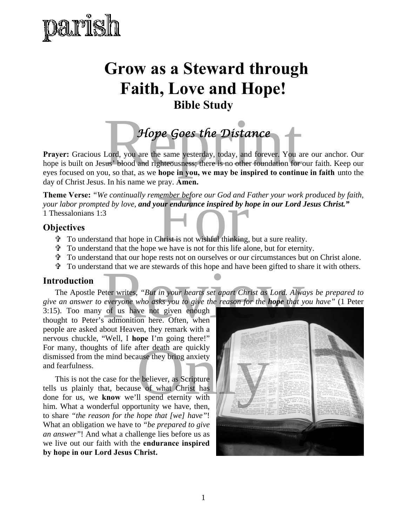

# **Grow as a Steward through Faith, Love and Hope! Bible Study**

*Hope Goes the Distance* 

Prayer: Gracious Lord, you are the same yesterday, today, and forever. You are our anchor. Our hope is built on Jesus' blood and righteousness; there is no other foundation for our faith. Keep our eyes focused on you, so that, as we **hope in you, we may be inspired to continue in faith** unto the day of Christ Jesus. In his name we pray. **Amen.** Hope Goes the Distance<br>Lord, you are the same yesterday, today, and forever. You are ou<br>sus' blood and righteousness; there is no other foundation for our factor.

**Theme Verse:** *"We continually remember before our God and Father your work produced by faith, your labor prompted by love, and your endurance inspired by hope in our Lord Jesus Christ."*  1 Thessalonians 1:3 member before our God and Fathe<br>
our endurance inspired by hope in<br>
Thrist is not wishful thinking, but a<br>
we have is not for this life alone, l

#### **Objectives**

- To understand that hope in Christ is not wishful thinking, but a sure reality.
- To understand that the hope we have is not for this life alone, but for eternity.
- To understand that our hope rests not on ourselves or our circumstances but on Christ alone.
- To understand that we are stewards of this hope and have been gifted to share it with others.

### **Introduction**

The Apostle Peter writes, *"But in your hearts set apart Christ as Lord. Always be prepared to give an answer to everyone who asks you to give the reason for the hope that you have"* (1 Peter and that we are stewards of this hope and have been gifted to share it<br>eter writes, "But in your hearts set apart Christ as Lord. Always be<br>everyone who asks you to give the reason for the **hope** that you ho<br>of us have not

3:15). Too many of us have not given enough thought to Peter's admonition here. Often, when people are asked about Heaven, they remark with a nervous chuckle, "Well, I **hope** I'm going there!" For many, thoughts of life after death are quickly dismissed from the mind because they bring anxiety and fearfulness.

This is not the case for the believer, as Scripture tells us plainly that, because of what Christ has done for us, we **know** we'll spend eternity with him. What a wonderful opportunity we have, then, to share *"the reason for the hope that [we] have"*! What an obligation we have to *"be prepared to give an answer"*! And what a challenge lies before us as we live out our faith with the **endurance inspired by hope in our Lord Jesus Christ.**